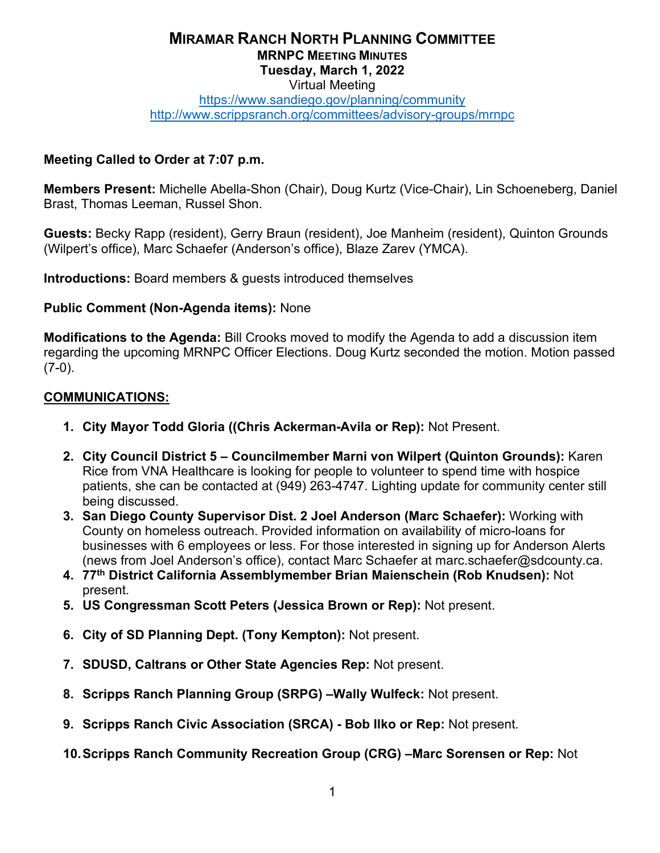### **MIRAMAR RANCH NORTH PLANNING COMMITTEE MRNPC MEETING MINUTES Tuesday, March 1, 2022** Virtual Meeting

#### <https://www.sandiego.gov/planning/community> <http://www.scrippsranch.org/committees/advisory-groups/mrnpc>

#### **Meeting Called to Order at 7:07 p.m.**

**Members Present:** Michelle Abella-Shon (Chair), Doug Kurtz (Vice-Chair), Lin Schoeneberg, Daniel Brast, Thomas Leeman, Russel Shon.

**Guests:** Becky Rapp (resident), Gerry Braun (resident), Joe Manheim (resident), Quinton Grounds (Wilpert's office), Marc Schaefer (Anderson's office), Blaze Zarev (YMCA).

**Introductions:** Board members & guests introduced themselves

#### **Public Comment (Non-Agenda items):** None

**Modifications to the Agenda:** Bill Crooks moved to modify the Agenda to add a discussion item regarding the upcoming MRNPC Officer Elections. Doug Kurtz seconded the motion. Motion passed  $(7-0)$ .

#### **COMMUNICATIONS:**

- **1. City Mayor Todd Gloria ((Chris Ackerman-Avila or Rep):** Not Present.
- **2. City Council District 5 Councilmember Marni von Wilpert (Quinton Grounds):** Karen Rice from VNA Healthcare is looking for people to volunteer to spend time with hospice patients, she can be contacted at (949) 263-4747. Lighting update for community center still being discussed.
- **3. San Diego County Supervisor Dist. 2 Joel Anderson (Marc Schaefer):** Working with County on homeless outreach. Provided information on availability of micro-loans for businesses with 6 employees or less. For those interested in signing up for Anderson Alerts (news from Joel Anderson's office), contact Marc Schaefer at marc.schaefer@sdcounty.ca.
- **4. 77th District California Assemblymember Brian Maienschein (Rob Knudsen):** Not present.
- **5. US Congressman Scott Peters (Jessica Brown or Rep):** Not present.
- **6. City of SD Planning Dept. (Tony Kempton):** Not present.
- **7. SDUSD, Caltrans or Other State Agencies Rep:** Not present.
- **8. Scripps Ranch Planning Group (SRPG) –Wally Wulfeck:** Not present.
- **9. Scripps Ranch Civic Association (SRCA) Bob Ilko or Rep:** Not present.
- **10.Scripps Ranch Community Recreation Group (CRG) –Marc Sorensen or Rep:** Not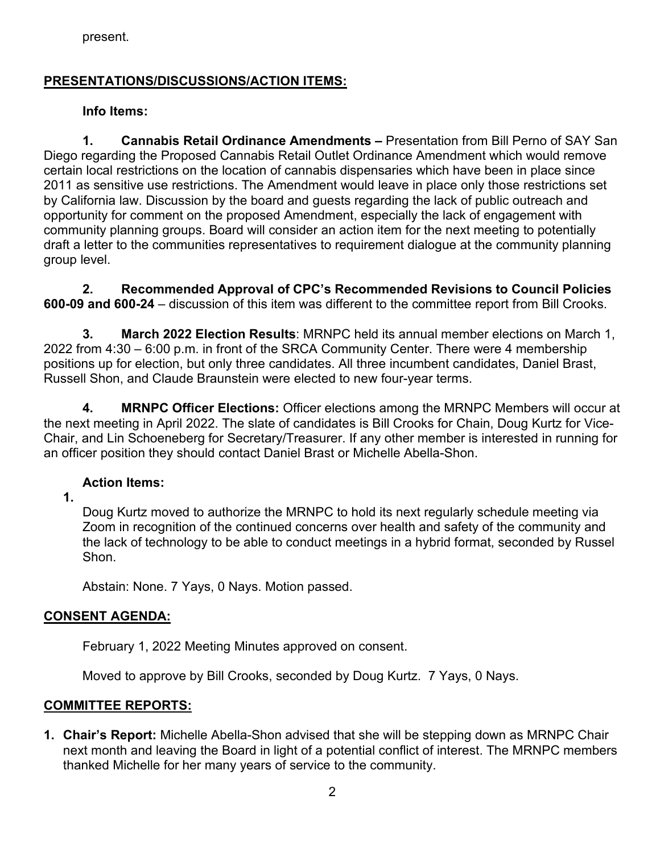present.

### **PRESENTATIONS/DISCUSSIONS/ACTION ITEMS:**

#### **Info Items:**

**1. Cannabis Retail Ordinance Amendments –** Presentation from Bill Perno of SAY San Diego regarding the Proposed Cannabis Retail Outlet Ordinance Amendment which would remove certain local restrictions on the location of cannabis dispensaries which have been in place since 2011 as sensitive use restrictions. The Amendment would leave in place only those restrictions set by California law. Discussion by the board and guests regarding the lack of public outreach and opportunity for comment on the proposed Amendment, especially the lack of engagement with community planning groups. Board will consider an action item for the next meeting to potentially draft a letter to the communities representatives to requirement dialogue at the community planning group level.

**2. Recommended Approval of CPC's Recommended Revisions to Council Policies 600-09 and 600-24** – discussion of this item was different to the committee report from Bill Crooks.

**3. March 2022 Election Results**: MRNPC held its annual member elections on March 1, 2022 from 4:30 – 6:00 p.m. in front of the SRCA Community Center. There were 4 membership positions up for election, but only three candidates. All three incumbent candidates, Daniel Brast, Russell Shon, and Claude Braunstein were elected to new four-year terms.

**4. MRNPC Officer Elections:** Officer elections among the MRNPC Members will occur at the next meeting in April 2022. The slate of candidates is Bill Crooks for Chain, Doug Kurtz for Vice-Chair, and Lin Schoeneberg for Secretary/Treasurer. If any other member is interested in running for an officer position they should contact Daniel Brast or Michelle Abella-Shon.

#### **Action Items:**

**1.** 

Doug Kurtz moved to authorize the MRNPC to hold its next regularly schedule meeting via Zoom in recognition of the continued concerns over health and safety of the community and the lack of technology to be able to conduct meetings in a hybrid format, seconded by Russel Shon.

Abstain: None. 7 Yays, 0 Nays. Motion passed.

#### **CONSENT AGENDA:**

February 1, 2022 Meeting Minutes approved on consent.

Moved to approve by Bill Crooks, seconded by Doug Kurtz. 7 Yays, 0 Nays.

#### **COMMITTEE REPORTS:**

**1. Chair's Report:** Michelle Abella-Shon advised that she will be stepping down as MRNPC Chair next month and leaving the Board in light of a potential conflict of interest. The MRNPC members thanked Michelle for her many years of service to the community.